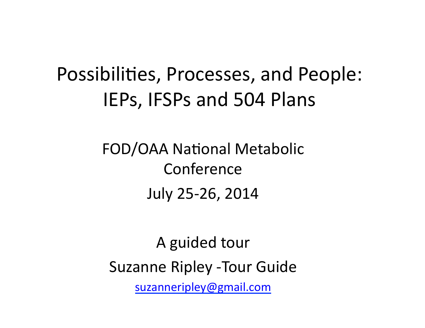## Possibilities, Processes, and People: IEPs, IFSPs and 504 Plans

#### FOD/OAA National Metabolic Conference July 25-26, 2014

A guided tour Suzanne Ripley - Tour Guide suzanneripley@gmail.com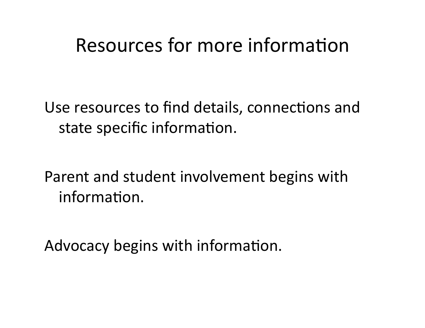#### Resources for more information

Use resources to find details, connections and state specific information.

Parent and student involvement begins with information.

Advocacy begins with information.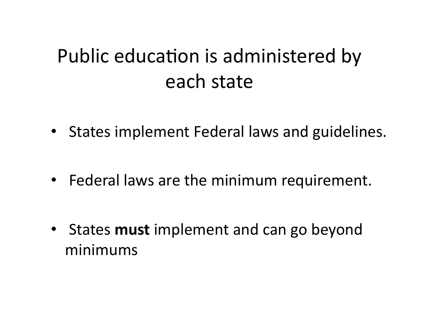## Public education is administered by each state

- States implement Federal laws and guidelines.
- Federal laws are the minimum requirement.
- States **must** implement and can go beyond minimums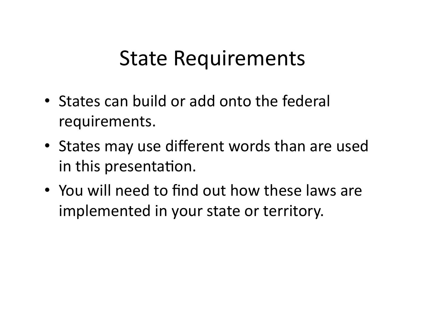## **State Requirements**

- States can build or add onto the federal requirements.
- States may use different words than are used in this presentation.
- You will need to find out how these laws are implemented in your state or territory.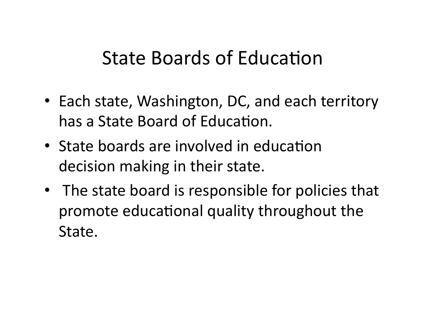#### State Boards of Education

- Each state, Washington, DC, and each territory has a State Board of Education.
- State boards are involved in education decision making in their state.
- The state board is responsible for policies that promote educational quality throughout the State.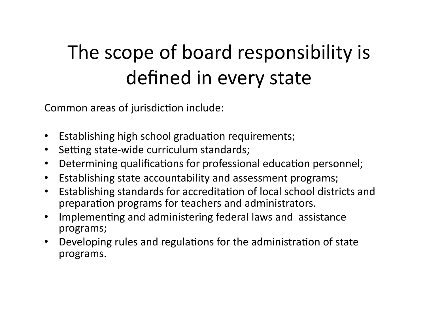# The scope of board responsibility is defined in every state

Common areas of jurisdiction include:

- Establishing high school graduation requirements;
- Setting state-wide curriculum standards;
- Determining qualifications for professional education personnel;
- Establishing state accountability and assessment programs;
- Establishing standards for accreditation of local school districts and preparation programs for teachers and administrators.
- Implementing and administering federal laws and assistance programs;
- Developing rules and regulations for the administration of state programs.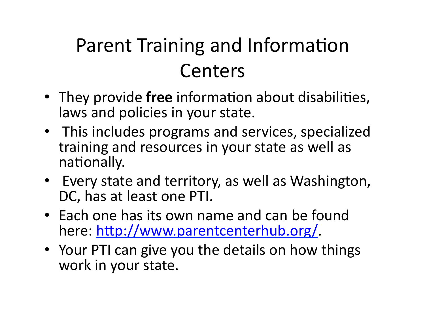# Parent Training and Information Centers

- They provide free information about disabilities, laws and policies in your state.
- This includes programs and services, specialized training and resources in your state as well as nationally.
- Every state and territory, as well as Washington, DC, has at least one PTI.
- Each one has its own name and can be found here: http://www.parentcenterhub.org/.
- Your PTI can give you the details on how things work in your state.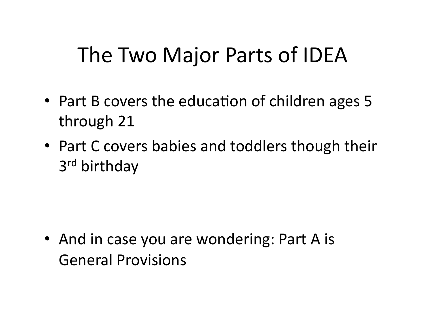## The Two Major Parts of IDEA

- Part B covers the education of children ages 5 through 21
- Part C covers babies and toddlers though their 3<sup>rd</sup> birthday

• And in case you are wondering: Part A is General Provisions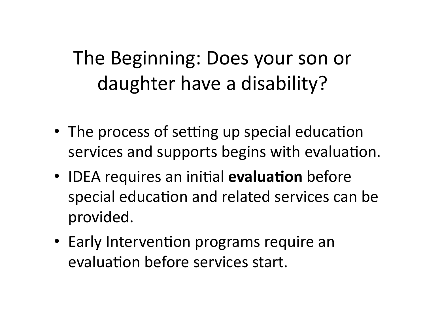## The Beginning: Does your son or daughter have a disability?

- The process of setting up special education services and supports begins with evaluation.
- IDEA requires an initial **evaluation** before special education and related services can be provided.
- Early Intervention programs require an evaluation before services start.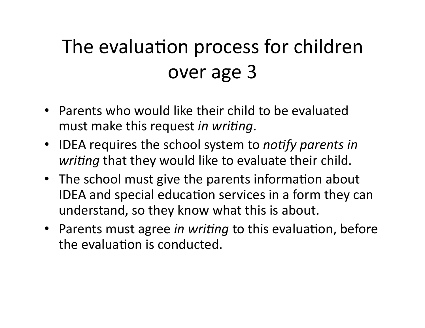# The evaluation process for children over age 3

- Parents who would like their child to be evaluated must make this request *in writing*.
- IDEA requires the school system to *notify parents in writing* that they would like to evaluate their child.
- The school must give the parents information about IDEA and special education services in a form they can understand, so they know what this is about.
- Parents must agree *in writing* to this evaluation, before the evaluation is conducted.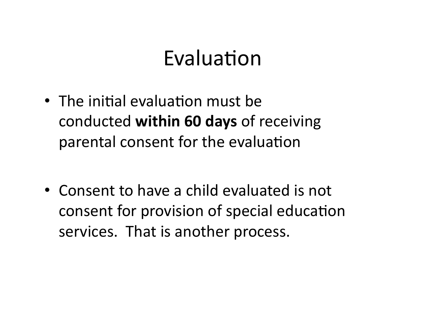## Evaluation

- The initial evaluation must be conducted **within 60 days** of receiving parental consent for the evaluation
- Consent to have a child evaluated is not consent for provision of special education services. That is another process.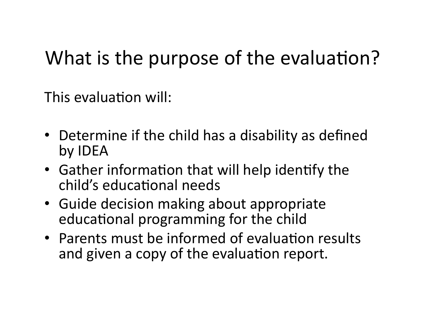### What is the purpose of the evaluation?

This evaluation will:

- Determine if the child has a disability as defined by **IDEA**
- Gather information that will help identify the child's educational needs
- Guide decision making about appropriate educational programming for the child
- Parents must be informed of evaluation results and given a copy of the evaluation report.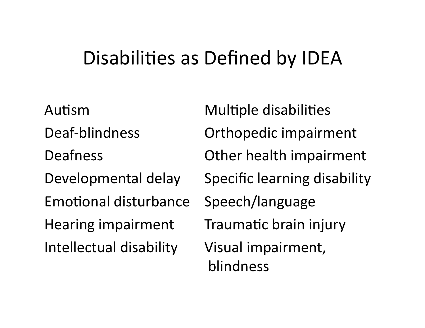#### Disabilities as Defined by IDEA

Autism Multiple disabilities Emotional disturbance Speech/language Hearing impairment Traumatic brain injury Intellectual disability Visual impairment,

Deaf-blindness **Orthopedic** impairment Deafness **CELET COMETER COMPAIRING Deafness**  $O$ ther health impairment Developmental delay Specific learning disability blindness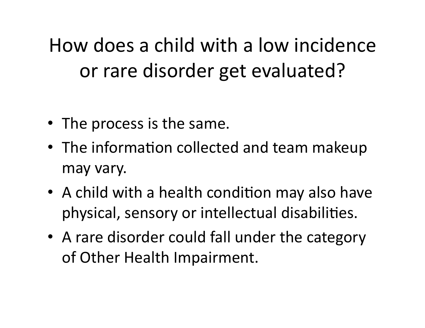How does a child with a low incidence or rare disorder get evaluated?

- The process is the same.
- The information collected and team makeup may vary.
- A child with a health condition may also have physical, sensory or intellectual disabilities.
- A rare disorder could fall under the category of Other Health Impairment.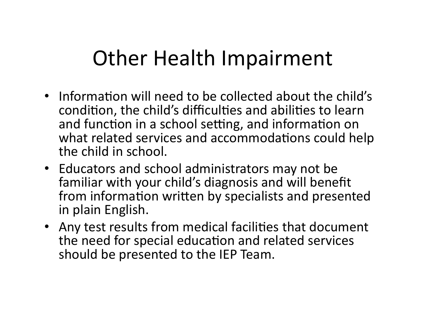## Other Health Impairment

- Information will need to be collected about the child's condition, the child's difficulties and abilities to learn and function in a school setting, and information on what related services and accommodations could help the child in school.
- Educators and school administrators may not be familiar with your child's diagnosis and will benefit from information written by specialists and presented in plain English.
- Any test results from medical facilities that document the need for special education and related services should be presented to the IEP Team.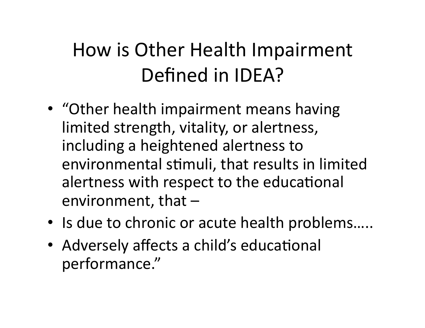## How is Other Health Impairment Defined in IDEA?

- "Other health impairment means having limited strength, vitality, or alertness, including a heightened alertness to environmental stimuli, that results in limited alertness with respect to the educational environment, that  $-$
- Is due to chronic or acute health problems.....
- Adversely affects a child's educational performance."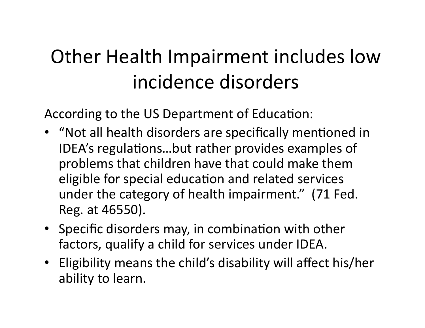## Other Health Impairment includes low incidence disorders

According to the US Department of Education:

- "Not all health disorders are specifically mentioned in IDEA's regulations...but rather provides examples of problems that children have that could make them eligible for special education and related services under the category of health impairment." (71 Fed. Reg. at 46550).
- Specific disorders may, in combination with other factors, qualify a child for services under IDEA.
- Eligibility means the child's disability will affect his/her ability to learn.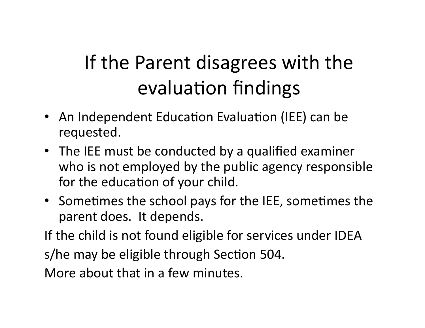# If the Parent disagrees with the evaluation findings

- An Independent Education Evaluation (IEE) can be requested.
- The IEE must be conducted by a qualified examiner who is not employed by the public agency responsible for the education of your child.
- Sometimes the school pays for the IEE, sometimes the parent does. It depends.

If the child is not found eligible for services under IDEA

s/he may be eligible through Section 504.

More about that in a few minutes.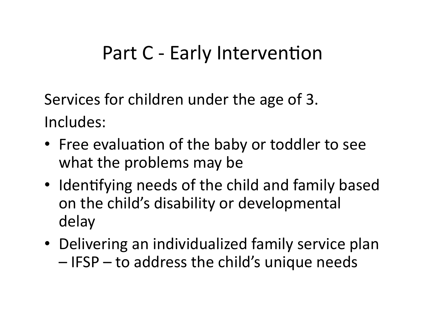#### Part C - Early Intervention

Services for children under the age of 3. Includes: 

- Free evaluation of the baby or toddler to see what the problems may be
- Identifying needs of the child and family based on the child's disability or developmental delay
- Delivering an individualized family service plan  $-$  IFSP  $-$  to address the child's unique needs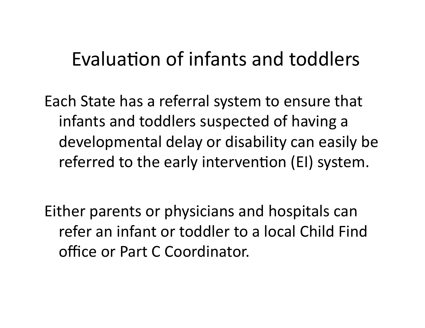#### Evaluation of infants and toddlers

Each State has a referral system to ensure that infants and toddlers suspected of having a developmental delay or disability can easily be referred to the early intervention (EI) system.

Either parents or physicians and hospitals can refer an infant or toddler to a local Child Find office or Part C Coordinator.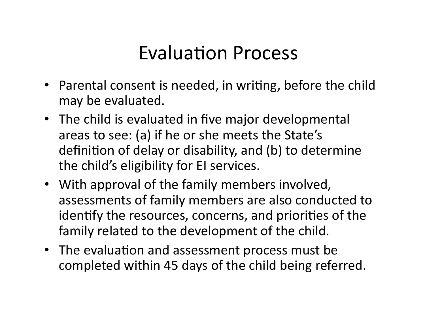#### Evaluation Process

- Parental consent is needed, in writing, before the child may be evaluated.
- The child is evaluated in five major developmental areas to see: (a) if he or she meets the State's definition of delay or disability, and (b) to determine the child's eligibility for EI services.
- With approval of the family members involved, assessments of family members are also conducted to identify the resources, concerns, and priorities of the family related to the development of the child.
- The evaluation and assessment process must be completed within 45 days of the child being referred.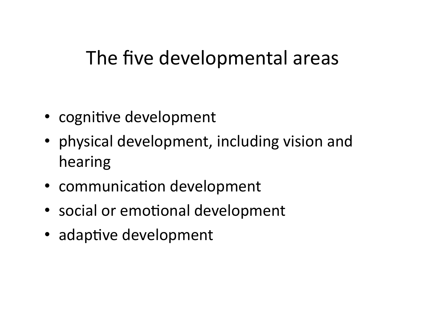#### The five developmental areas

- cognitive development
- physical development, including vision and hearing
- communication development
- social or emotional development
- adaptive development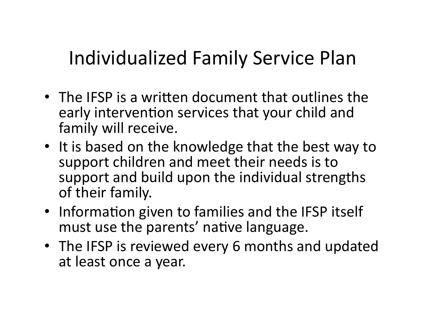## Individualized Family Service Plan

- The IFSP is a written document that outlines the early intervention services that your child and family will receive.
- It is based on the knowledge that the best way to support children and meet their needs is to support and build upon the individual strengths of their family.
- Information given to families and the IFSP itself must use the parents' native language.
- The IFSP is reviewed every 6 months and updated at least once a year.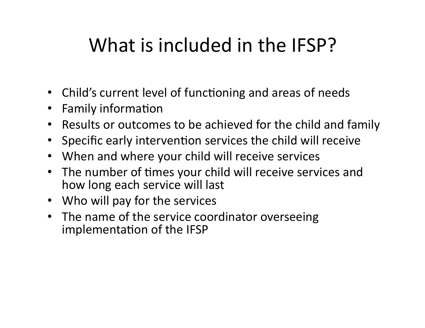## What is included in the IFSP?

- Child's current level of functioning and areas of needs
- Family information
- Results or outcomes to be achieved for the child and family
- Specific early intervention services the child will receive
- When and where your child will receive services
- The number of times your child will receive services and how long each service will last
- Who will pay for the services
- The name of the service coordinator overseeing implementation of the IFSP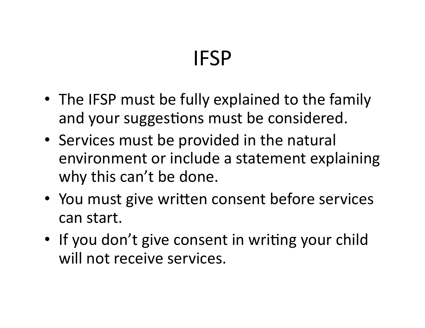# IFSP

- The IFSP must be fully explained to the family and your suggestions must be considered.
- Services must be provided in the natural environment or include a statement explaining why this can't be done.
- You must give written consent before services can start.
- If you don't give consent in writing your child will not receive services.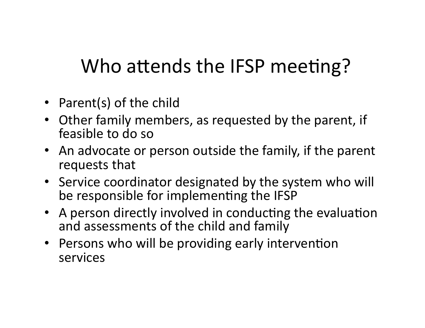## Who attends the IFSP meeting?

- Parent(s) of the child
- Other family members, as requested by the parent, if feasible to do so
- An advocate or person outside the family, if the parent requests that
- Service coordinator designated by the system who will be responsible for implementing the IFSP
- A person directly involved in conducting the evaluation and assessments of the child and family
- Persons who will be providing early intervention services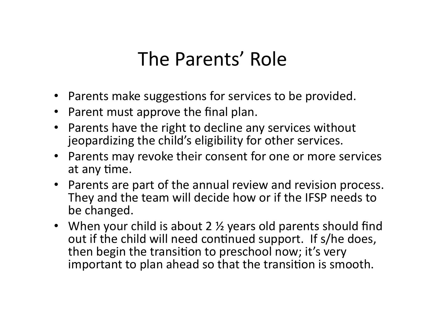### The Parents' Role

- Parents make suggestions for services to be provided.
- Parent must approve the final plan.
- Parents have the right to decline any services without jeopardizing the child's eligibility for other services.
- Parents may revoke their consent for one or more services at any time.
- Parents are part of the annual review and revision process. They and the team will decide how or if the IFSP needs to be changed.
- When your child is about 2  $\frac{1}{2}$  years old parents should find out if the child will need continued support. If s/he does, then begin the transition to preschool now; it's very important to plan ahead so that the transition is smooth.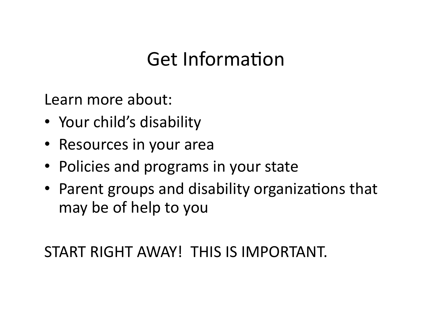## Get Information

Learn more about:

- Your child's disability
- Resources in your area
- Policies and programs in your state
- Parent groups and disability organizations that may be of help to you

START RIGHT AWAY! THIS IS IMPORTANT.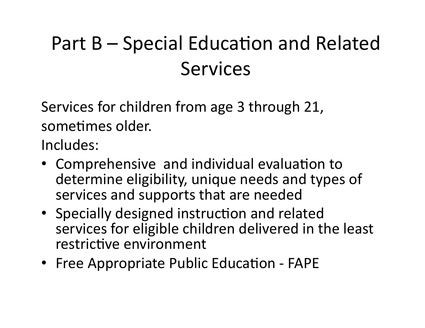# Part  $B -$  Special Education and Related Services

Services for children from age 3 through 21, sometimes older.

Includes: 

- Comprehensive and individual evaluation to determine eligibility, unique needs and types of services and supports that are needed
- Specially designed instruction and related services for eligible children delivered in the least restrictive environment
- Free Appropriate Public Education FAPE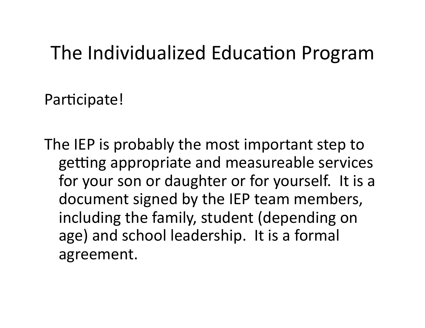#### The Individualized Education Program

Participate!

The IEP is probably the most important step to getting appropriate and measureable services for your son or daughter or for yourself. It is a document signed by the IEP team members, including the family, student (depending on age) and school leadership. It is a formal agreement.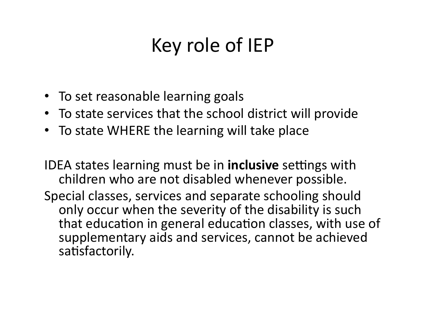## Key role of IEP

- To set reasonable learning goals
- To state services that the school district will provide
- To state WHERE the learning will take place

IDEA states learning must be in **inclusive** settings with children who are not disabled whenever possible.

Special classes, services and separate schooling should only occur when the severity of the disability is such that education in general education classes, with use of supplementary aids and services, cannot be achieved satisfactorily.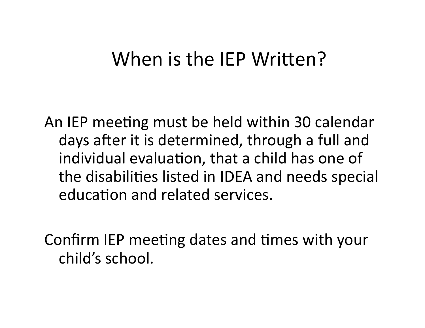#### When is the IEP Written?

An IEP meeting must be held within 30 calendar days after it is determined, through a full and individual evaluation, that a child has one of the disabilities listed in IDEA and needs special education and related services.

Confirm IEP meeting dates and times with your child's school.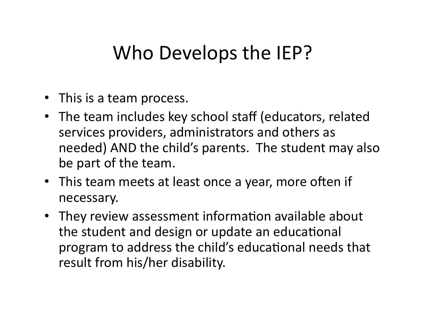#### Who Develops the IEP?

- This is a team process.
- The team includes key school staff (educators, related services providers, administrators and others as needed) AND the child's parents. The student may also be part of the team.
- This team meets at least once a year, more often if necessary.
- They review assessment information available about the student and design or update an educational program to address the child's educational needs that result from his/her disability.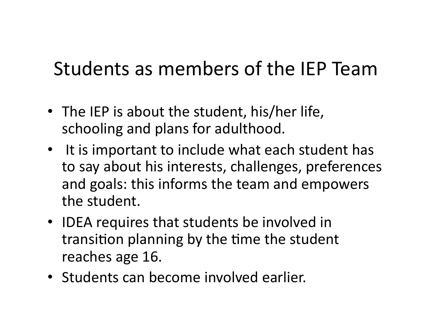### Students as members of the IEP Team

- The IEP is about the student, his/her life, schooling and plans for adulthood.
- It is important to include what each student has to say about his interests, challenges, preferences and goals: this informs the team and empowers the student.
- IDEA requires that students be involved in transition planning by the time the student reaches age 16.
- Students can become involved earlier.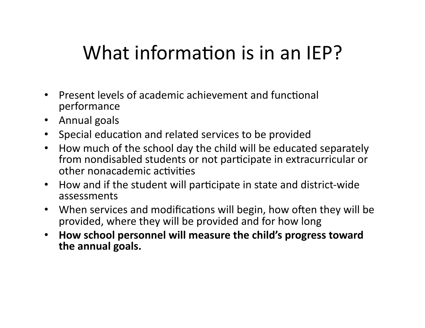### What information is in an IEP?

- Present levels of academic achievement and functional performance
- Annual goals
- Special education and related services to be provided
- How much of the school day the child will be educated separately from nondisabled students or not participate in extracurricular or other nonacademic activities
- How and if the student will participate in state and district-wide assessments
- When services and modifications will begin, how often they will be provided, where they will be provided and for how long
- How school personnel will measure the child's progress toward the annual goals.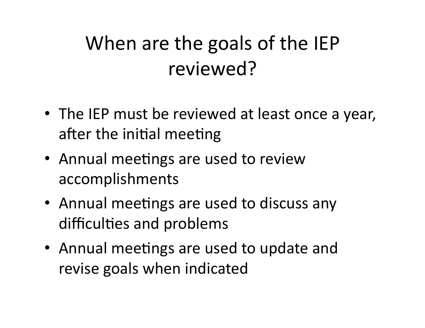## When are the goals of the IEP reviewed?

- The IEP must be reviewed at least once a year, after the initial meeting
- Annual meetings are used to review accomplishments
- Annual meetings are used to discuss any difficulties and problems
- Annual meetings are used to update and revise goals when indicated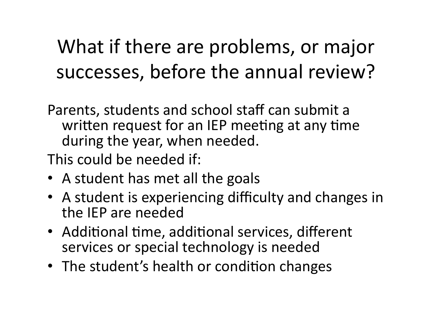## What if there are problems, or major successes, before the annual review?

Parents, students and school staff can submit a written request for an IEP meeting at any time during the year, when needed.

This could be needed if:

- A student has met all the goals
- A student is experiencing difficulty and changes in the IEP are needed
- Additional time, additional services, different services or special technology is needed
- The student's health or condition changes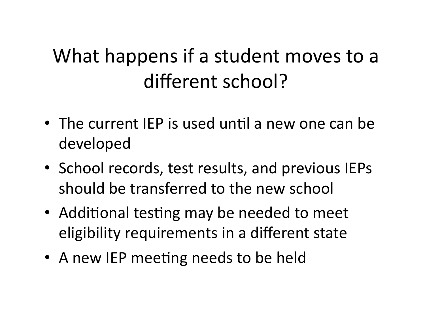## What happens if a student moves to a different school?

- The current IEP is used until a new one can be developed
- School records, test results, and previous IEPs should be transferred to the new school
- Additional testing may be needed to meet eligibility requirements in a different state
- A new IEP meeting needs to be held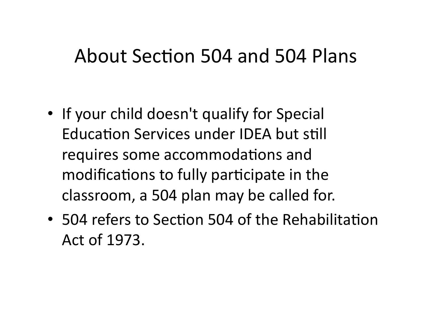#### About Section 504 and 504 Plans

- If your child doesn't qualify for Special Education Services under IDEA but still requires some accommodations and modifications to fully participate in the classroom, a 504 plan may be called for.
- 504 refers to Section 504 of the Rehabilitation Act of 1973.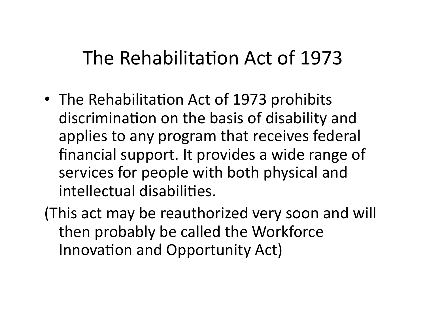#### The Rehabilitation Act of 1973

• The Rehabilitation Act of 1973 prohibits discrimination on the basis of disability and applies to any program that receives federal financial support. It provides a wide range of services for people with both physical and intellectual disabilities.

(This act may be reauthorized very soon and will then probably be called the Workforce Innovation and Opportunity Act)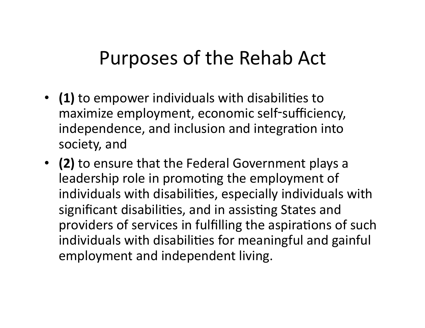#### Purposes of the Rehab Act

- **(1)** to empower individuals with disabilities to maximize employment, economic self-sufficiency, independence, and inclusion and integration into society, and
- **(2)** to ensure that the Federal Government plays a leadership role in promoting the employment of individuals with disabilities, especially individuals with significant disabilities, and in assisting States and providers of services in fulfilling the aspirations of such individuals with disabilities for meaningful and gainful employment and independent living.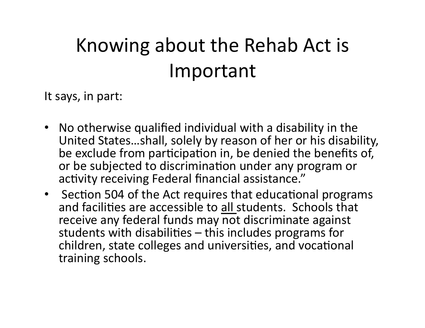# Knowing about the Rehab Act is Important

It says, in part:

- No otherwise qualified individual with a disability in the United States...shall, solely by reason of her or his disability, be exclude from participation in, be denied the benefits of, or be subjected to discrimination under any program or activity receiving Federal financial assistance."
- Section 504 of the Act requires that educational programs and facilities are accessible to all students. Schools that receive any federal funds may not discriminate against students with disabilities  $-$  this includes programs for children, state colleges and universities, and vocational training schools.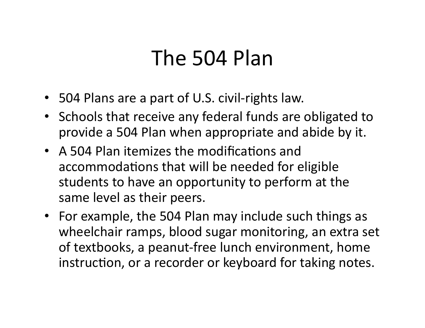## The 504 Plan

- 504 Plans are a part of U.S. civil-rights law.
- Schools that receive any federal funds are obligated to provide a 504 Plan when appropriate and abide by it.
- A 504 Plan itemizes the modifications and accommodations that will be needed for eligible students to have an opportunity to perform at the same level as their peers.
- For example, the 504 Plan may include such things as wheelchair ramps, blood sugar monitoring, an extra set of textbooks, a peanut-free lunch environment, home instruction, or a recorder or keyboard for taking notes.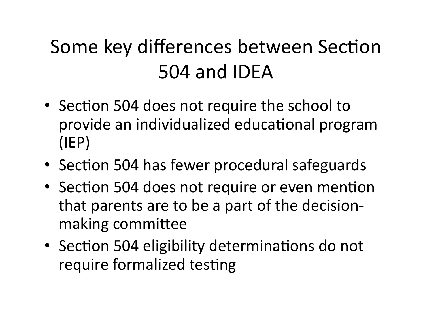# Some key differences between Section 504 and IDEA

- Section 504 does not require the school to provide an individualized educational program (IEP)
- Section 504 has fewer procedural safeguards
- Section 504 does not require or even mention that parents are to be a part of the decisionmaking committee
- Section 504 eligibility determinations do not require formalized testing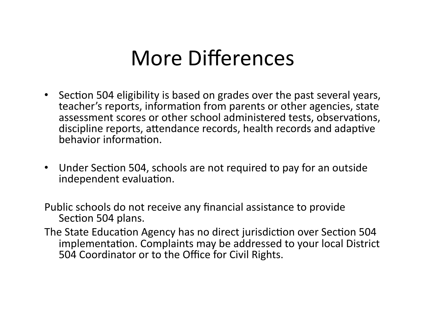## More Differences

- Section 504 eligibility is based on grades over the past several years, teacher's reports, information from parents or other agencies, state assessment scores or other school administered tests, observations, discipline reports, attendance records, health records and adaptive behavior information.
- Under Section 504, schools are not required to pay for an outside independent evaluation.
- Public schools do not receive any financial assistance to provide Section 504 plans.
- The State Education Agency has no direct jurisdiction over Section 504 implementation. Complaints may be addressed to your local District 504 Coordinator or to the Office for Civil Rights.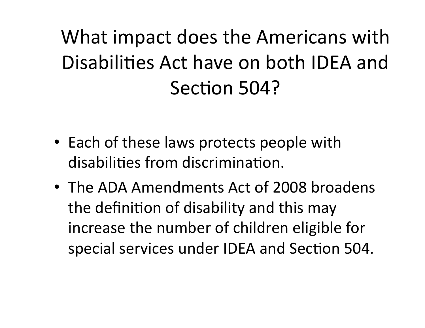What impact does the Americans with Disabilities Act have on both IDEA and Section 504?

- Each of these laws protects people with disabilities from discrimination.
- The ADA Amendments Act of 2008 broadens the definition of disability and this may increase the number of children eligible for special services under IDEA and Section 504.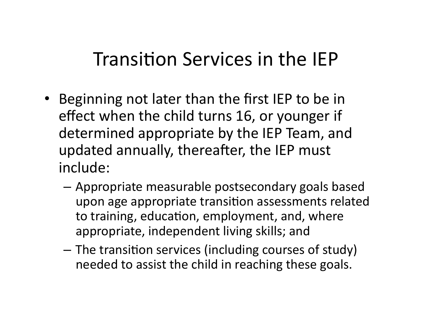#### Transition Services in the IEP

- Beginning not later than the first IEP to be in effect when the child turns 16, or younger if determined appropriate by the IEP Team, and updated annually, thereafter, the IEP must include:
	- $-$  Appropriate measurable postsecondary goals based upon age appropriate transition assessments related to training, education, employment, and, where appropriate, independent living skills; and
	- $-$  The transition services (including courses of study) needed to assist the child in reaching these goals.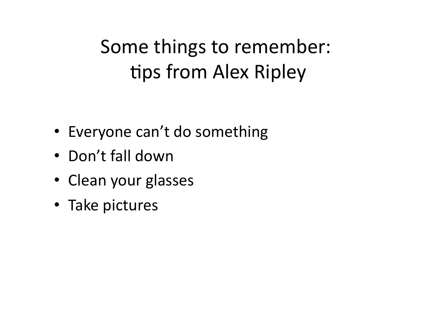## Some things to remember: tips from Alex Ripley

- Everyone can't do something
- Don't fall down
- Clean your glasses
- Take pictures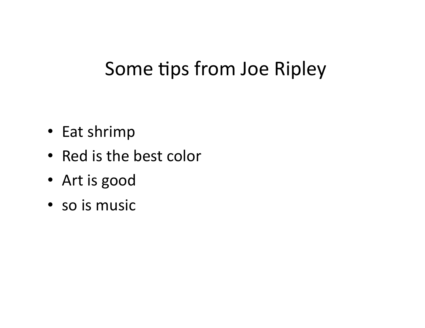### Some tips from Joe Ripley

- Eat shrimp
- Red is the best color
- Art is good
- so is music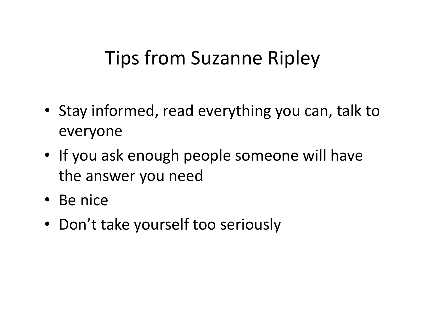### **Tips from Suzanne Ripley**

- Stay informed, read everything you can, talk to everyone
- If you ask enough people someone will have the answer you need
- Be nice
- Don't take yourself too seriously